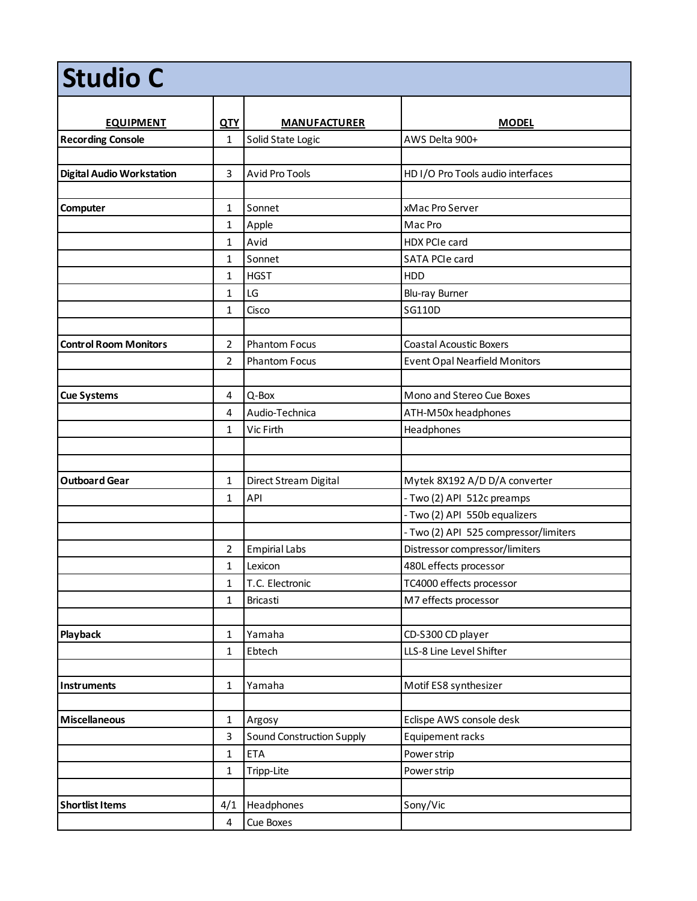| <b>Studio C</b>                  |                         |                                  |                                       |  |
|----------------------------------|-------------------------|----------------------------------|---------------------------------------|--|
| <b>EQUIPMENT</b>                 | <b>QTY</b>              | <b>MANUFACTURER</b>              | <b>MODEL</b>                          |  |
| <b>Recording Console</b>         | $\mathbf{1}$            | Solid State Logic                | AWS Delta 900+                        |  |
|                                  |                         |                                  |                                       |  |
| <b>Digital Audio Workstation</b> | 3                       | <b>Avid Pro Tools</b>            | HD I/O Pro Tools audio interfaces     |  |
|                                  |                         |                                  |                                       |  |
| Computer                         | 1                       | Sonnet                           | xMac Pro Server                       |  |
|                                  | 1                       | Apple                            | Mac Pro                               |  |
|                                  | $\mathbf{1}$            | Avid                             | HDX PCIe card                         |  |
|                                  | 1                       | Sonnet                           | SATA PCIe card                        |  |
|                                  | 1                       | <b>HGST</b>                      | HDD                                   |  |
|                                  | 1                       | LG                               | Blu-ray Burner                        |  |
|                                  | 1                       | Cisco                            | SG110D                                |  |
|                                  |                         |                                  |                                       |  |
| <b>Control Room Monitors</b>     | $\overline{2}$          | <b>Phantom Focus</b>             | <b>Coastal Acoustic Boxers</b>        |  |
|                                  | $\overline{2}$          | <b>Phantom Focus</b>             | <b>Event Opal Nearfield Monitors</b>  |  |
|                                  |                         |                                  |                                       |  |
| <b>Cue Systems</b>               | 4                       | Q-Box                            | Mono and Stereo Cue Boxes             |  |
|                                  | 4                       | Audio-Technica                   | ATH-M50x headphones                   |  |
|                                  | 1                       | Vic Firth                        | Headphones                            |  |
|                                  |                         |                                  |                                       |  |
|                                  |                         |                                  |                                       |  |
| <b>Outboard Gear</b>             | 1                       | Direct Stream Digital            | Mytek 8X192 A/D D/A converter         |  |
|                                  | 1                       | API                              | - Two (2) API 512c preamps            |  |
|                                  |                         |                                  | - Two (2) API 550b equalizers         |  |
|                                  |                         |                                  | - Two (2) API 525 compressor/limiters |  |
|                                  | 2                       | <b>Empirial Labs</b>             | Distressor compressor/limiters        |  |
|                                  | $\mathbf{1}$            | Lexicon                          | 480L effects processor                |  |
|                                  | $\mathbf{1}$            | T.C. Electronic                  | TC4000 effects processor              |  |
|                                  | 1                       | Bricasti                         | M7 effects processor                  |  |
|                                  |                         |                                  |                                       |  |
| Playback                         | $\mathbf{1}$            | Yamaha                           | CD-S300 CD player                     |  |
|                                  | $\mathbf{1}$            | Ebtech                           | LLS-8 Line Level Shifter              |  |
|                                  |                         |                                  |                                       |  |
| Instruments                      | $\mathbf{1}$            | Yamaha                           | Motif ES8 synthesizer                 |  |
|                                  |                         |                                  |                                       |  |
| <b>Miscellaneous</b>             | $\mathbf{1}$            | Argosy                           | Eclispe AWS console desk              |  |
|                                  | 3                       | <b>Sound Construction Supply</b> | Equipement racks                      |  |
|                                  | $\mathbf{1}$            | <b>ETA</b>                       | Power strip                           |  |
|                                  | $\mathbf{1}$            | Tripp-Lite                       | Power strip                           |  |
|                                  |                         |                                  |                                       |  |
| <b>Shortlist Items</b>           | 4/1                     | Headphones                       | Sony/Vic                              |  |
|                                  | $\overline{\mathbf{4}}$ | Cue Boxes                        |                                       |  |